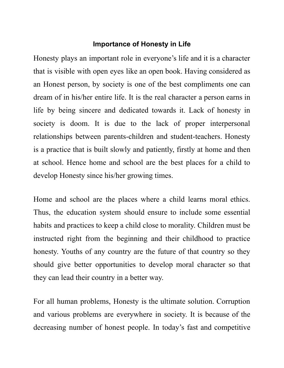## **Importance of Honesty in Life**

Honesty plays an important role in everyone's life and it is a character that is visible with open eyes like an open book. Having considered as an Honest person, by society is one of the best compliments one can dream of in his/her entire life. It is the real character a person earns in life by being sincere and dedicated towards it. Lack of honesty in society is doom. It is due to the lack of proper interpersonal relationships between parents-children and student-teachers. Honesty is a practice that is built slowly and patiently, firstly at home and then at school. Hence home and school are the best places for a child to develop Honesty since his/her growing times.

Home and school are the places where a child learns moral ethics. Thus, the education system should ensure to include some essential habits and practices to keep a child close to morality. Children must be instructed right from the beginning and their childhood to practice honesty. Youths of any country are the future of that country so they should give better opportunities to develop moral character so that they can lead their country in a better way.

For all human problems, Honesty is the ultimate solution. Corruption and various problems are everywhere in society. It is because of the decreasing number of honest people. In today's fast and competitive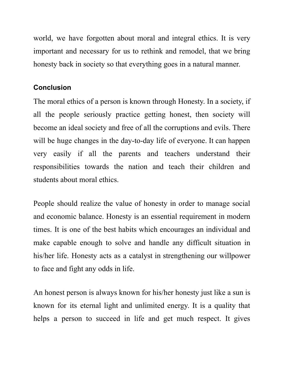world, we have forgotten about moral and integral ethics. It is very important and necessary for us to rethink and remodel, that we bring honesty back in society so that everything goes in a natural manner.

## **Conclusion**

The moral ethics of a person is known through Honesty. In a society, if all the people seriously practice getting honest, then society will become an ideal society and free of all the corruptions and evils. There will be huge changes in the day-to-day life of everyone. It can happen very easily if all the parents and teachers understand their responsibilities towards the nation and teach their children and students about moral ethics.

People should realize the value of honesty in order to manage social and economic balance. Honesty is an essential requirement in modern times. It is one of the best habits which encourages an individual and make capable enough to solve and handle any difficult situation in his/her life. Honesty acts as a catalyst in strengthening our willpower to face and fight any odds in life.

An honest person is always known for his/her honesty just like a sun is known for its eternal light and unlimited energy. It is a quality that helps a person to succeed in life and get much respect. It gives